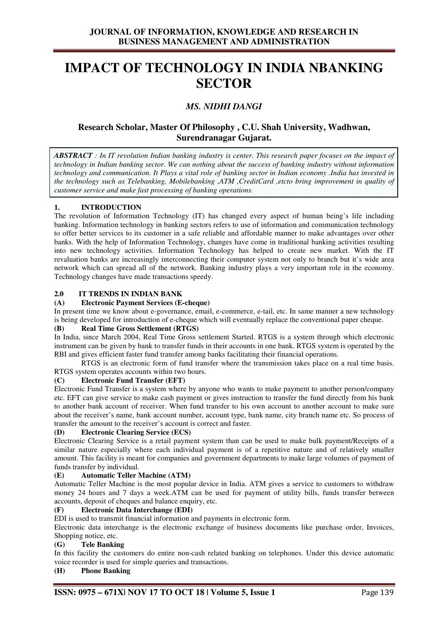## **IMPACT OF TECHNOLOGY IN INDIA NBANKING SECTOR**

## *MS. NIDHI DANGI*

## **Research Scholar, Master Of Philosophy , C.U. Shah University, Wadhwan, Surendranagar Gujarat.**

*ABSTRACT : In IT revolution Indian banking industry is center. This research paper focuses on the impact of technology in Indian banking sector. We can nothing about the success of banking industry without information technology and communication. It Plays a vital role of banking sector in Indian economy .India has invested in the technology such as Telebanking, Mobilebanking ,ATM ,CreditCard ,etcto bring improvement in quality of customer service and make fast processing of banking operations.* 

#### **1. INTRODUCTION**

The revolution of Information Technology (IT) has changed every aspect of human being's life including banking. Information technology in banking sectors refers to use of information and communication technology to offer better services to its customer in a safe reliable and affordable manner to make advantages over other banks. With the help of Information Technology, changes have come in traditional banking activities resulting into new technology activities. Information Technology has helped to create new market. With the IT revaluation banks are increasingly interconnecting their computer system not only to branch but it's wide area network which can spread all of the network. Banking industry plays a very important role in the economy. Technology changes have made transactions speedy.

# **2.0 IT TRENDS IN INDIAN BANK**

#### **(A) Electronic Payment Services (E-cheque)**

In present time we know about e-governance, email, e-commerce, e-tail, etc. In same manner a new technology is being developed for introduction of e-cheque which will eventually replace the conventional paper cheque.

### **(B) Real Time Gross Settlement (RTGS)**

In India, since March 2004, Real Time Gross settlement Started. RTGS is a system through which electronic instrument can be given by bank to transfer funds in their accounts in one bank. RTGS system is operated by the RBI and gives efficient faster fund transfer among banks facilitating their financial operations.

 RTGS is an electronic form of fund transfer where the transmission takes place on a real time basis. RTGS system operates accounts within two hours.

#### **(C) Electronic Fund Transfer (EFT)**

Electronic Fund Transfer is a system where by anyone who wants to make payment to another person/company etc. EFT can give service to make cash payment or gives instruction to transfer the fund directly from his bank to another bank account of receiver. When fund transfer to his own account to another account to make sure about the receiver's name, bank account number, account type, bank name, city branch name etc. So process of transfer the amount to the receiver's account is correct and faster.

#### **(D) Electronic Clearing Service (ECS)**

Electronic Clearing Service is a retail payment system than can be used to make bulk payment/Receipts of a similar nature especially where each individual payment is of a repetitive nature and of relatively smaller amount. This facility is meant for companies and government departments to make large volumes of payment of funds transfer by individual.

#### **(E) Automatic Teller Machine (ATM)**

Automatic Teller Machine is the most popular device in India. ATM gives a service to customers to withdraw money 24 hours and 7 days a week.ATM can be used for payment of utility bills, funds transfer between accounts, deposit of cheques and balance enquiry, etc.

#### **(F) Electronic Data Interchange (EDI)**

EDI is used to transmit financial information and payments in electronic form.

Electronic data interchange is the electronic exchange of business documents like purchase order, Invoices, Shopping notice, etc.

#### **(G) Tele Banking**

In this facility the customers do entire non-cash related banking on telephones. Under this device automatic voice recorder is used for simple queries and transactions.

#### **(H) Phone Banking**